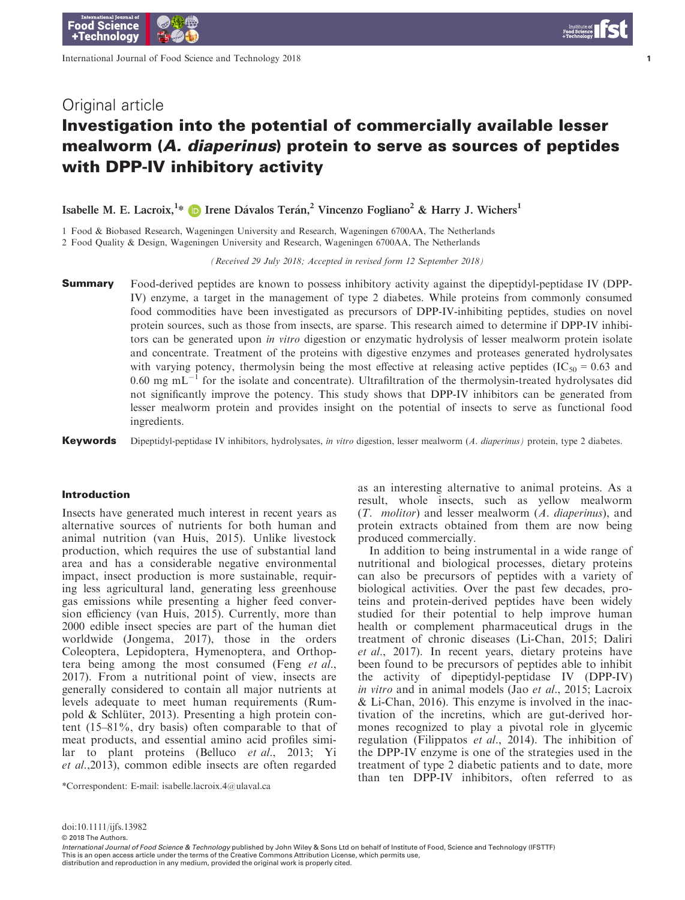International Journal of Food Science and Technology 2018

1

# Investigation into the potential of commercially available lesser mealworm (A. diaperinus) protein to serve as sources of peptides with DPP-IV inhibitory activity

Isabelle M. E. Lacroix,<sup>1\*</sup> D Irene Dávalos Terán,<sup>2</sup> Vincenzo Fogliano<sup>2</sup> & Harry J. Wichers<sup>1</sup>

1 Food & Biobased Research, Wageningen University and Research, Wageningen 6700AA, The Netherlands

2 Food Quality & Design, Wageningen University and Research, Wageningen 6700AA, The Netherlands

(Received 29 July 2018; Accepted in revised form 12 September 2018)

**Summary** Food-derived peptides are known to possess inhibitory activity against the dipeptidyl-peptidase IV (DPP-IV) enzyme, a target in the management of type 2 diabetes. While proteins from commonly consumed food commodities have been investigated as precursors of DPP-IV-inhibiting peptides, studies on novel protein sources, such as those from insects, are sparse. This research aimed to determine if DPP-IV inhibitors can be generated upon *in vitro* digestion or enzymatic hydrolysis of lesser mealworm protein isolate and concentrate. Treatment of the proteins with digestive enzymes and proteases generated hydrolysates with varying potency, thermolysin being the most effective at releasing active peptides ( $IC_{50} = 0.63$  and 0.60 mg  $mL^{-1}$  for the isolate and concentrate). Ultrafiltration of the thermolysin-treated hydrolysates did not significantly improve the potency. This study shows that DPP-IV inhibitors can be generated from lesser mealworm protein and provides insight on the potential of insects to serve as functional food ingredients.

**Keywords** Dipeptidyl-peptidase IV inhibitors, hydrolysates, *in vitro* digestion, lesser mealworm (A. diaperinus) protein, type 2 diabetes.

### Introduction

Insects have generated much interest in recent years as alternative sources of nutrients for both human and animal nutrition (van Huis, 2015). Unlike livestock production, which requires the use of substantial land area and has a considerable negative environmental impact, insect production is more sustainable, requiring less agricultural land, generating less greenhouse gas emissions while presenting a higher feed conversion efficiency (van Huis, 2015). Currently, more than 2000 edible insect species are part of the human diet worldwide (Jongema, 2017), those in the orders Coleoptera, Lepidoptera, Hymenoptera, and Orthoptera being among the most consumed (Feng et al., 2017). From a nutritional point of view, insects are generally considered to contain all major nutrients at levels adequate to meet human requirements (Rumpold & Schlüter, 2013). Presenting a high protein content (15–81%, dry basis) often comparable to that of meat products, and essential amino acid profiles similar to plant proteins (Belluco et al., 2013; Yi et al.,2013), common edible insects are often regarded

as an interesting alternative to animal proteins. As a result, whole insects, such as yellow mealworm (T. molitor) and lesser mealworm (A. diaperinus), and protein extracts obtained from them are now being produced commercially.

In addition to being instrumental in a wide range of nutritional and biological processes, dietary proteins can also be precursors of peptides with a variety of biological activities. Over the past few decades, proteins and protein-derived peptides have been widely studied for their potential to help improve human health or complement pharmaceutical drugs in the treatment of chronic diseases (Li-Chan, 2015; Daliri et al., 2017). In recent years, dietary proteins have been found to be precursors of peptides able to inhibit the activity of dipeptidyl-peptidase IV (DPP-IV) in vitro and in animal models (Jao et al., 2015; Lacroix & Li-Chan, 2016). This enzyme is involved in the inactivation of the incretins, which are gut-derived hormones recognized to play a pivotal role in glycemic regulation (Filippatos et al., 2014). The inhibition of the DPP-IV enzyme is one of the strategies used in the treatment of type 2 diabetic patients and to date, more than ten DPP-IV inhibitors, often referred to as \*Correspondent: E-mail: [isabelle.lacroix.4@ulaval.ca](mailto:)

© 2018 The Authors.

distribution and reproduction in any medium, provided the original work is properly cited.

doi:10.1111/ijfs.13982

*International Journal of Food Science & Technology* published by John Wiley & Sons Ltd on behalf of Institute of Food, Science and Technology (IFSTTF)<br>This is an open access article under the terms of the Creative Commons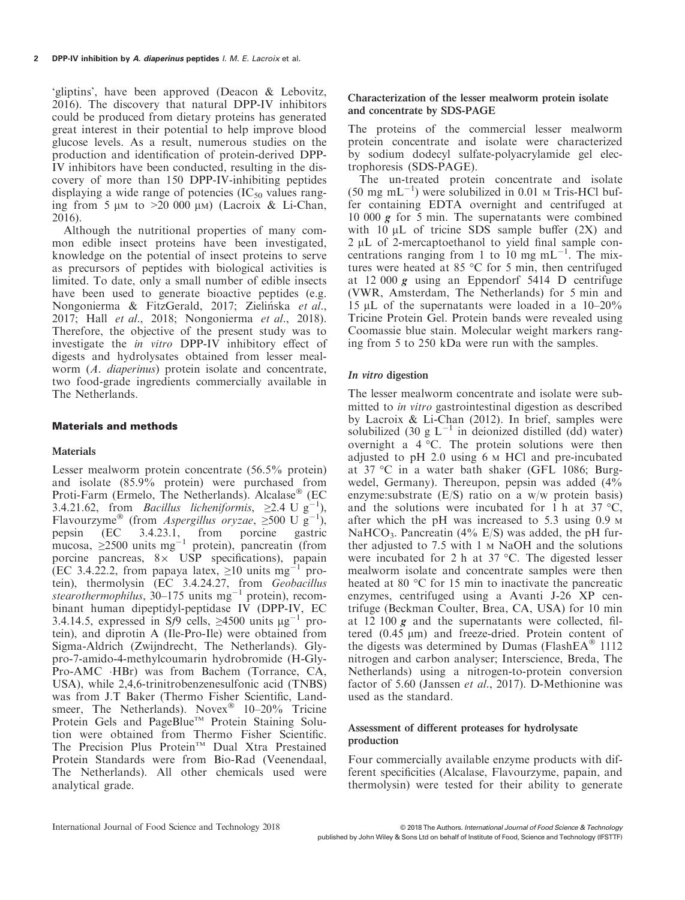'gliptins', have been approved (Deacon & Lebovitz, 2016). The discovery that natural DPP-IV inhibitors could be produced from dietary proteins has generated great interest in their potential to help improve blood glucose levels. As a result, numerous studies on the production and identification of protein-derived DPP-IV inhibitors have been conducted, resulting in the discovery of more than 150 DPP-IV-inhibiting peptides displaying a wide range of potencies  $(IC_{50}$  values ranging from 5  $\mu$ M to >20 000  $\mu$ M) (Lacroix & Li-Chan, 2016).

Although the nutritional properties of many common edible insect proteins have been investigated, knowledge on the potential of insect proteins to serve as precursors of peptides with biological activities is limited. To date, only a small number of edible insects have been used to generate bioactive peptides (e.g. Nongonierma & FitzGerald, 2017; Zielińska et al., 2017; Hall et al., 2018; Nongonierma et al., 2018). Therefore, the objective of the present study was to investigate the in vitro DPP-IV inhibitory effect of digests and hydrolysates obtained from lesser mealworm (A. diaperinus) protein isolate and concentrate, two food-grade ingredients commercially available in The Netherlands.

# Materials and methods

# **Materials**

Lesser mealworm protein concentrate (56.5% protein) and isolate (85.9% protein) were purchased from Proti-Farm (Ermelo, The Netherlands). Alcalase<sup>®</sup> (EC) 3.4.21.62, from *Bacillus licheniformis*,  $\geq$ 2.4 U g<sup>-1</sup>), Flavourzyme<sup>®</sup> (from *Aspergillus oryzae*,  $\geq 500 \text{ U g}^{-1}$ ), pepsin (EC 3.4.23.1, from porcine gastric mucosa,  $\geq 2500$  units mg<sup>-1</sup> protein), pancreatin (from porcine pancreas,  $8 \times$  USP specifications), papain (EC 3.4.22.2, from papaya latex,  $\geq 10$  units mg<sup>-1</sup> protein), thermolysin (EC 3.4.24.27, from Geobacillus stearothermophilus, 30–175 units  $mg^{-1}$  protein), recombinant human dipeptidyl-peptidase IV (DPP-IV, EC 3.4.14.5, expressed in Sf9 cells,  $\geq$ 4500 units  $\mu$ g<sup>-1</sup> protein), and diprotin A (Ile-Pro-Ile) were obtained from Sigma-Aldrich (Zwijndrecht, The Netherlands). Glypro-7-amido-4-methylcoumarin hydrobromide (H-Gly-Pro-AMC HBr) was from Bachem (Torrance, CA, USA), while 2,4,6-trinitrobenzenesulfonic acid (TNBS) was from J.T Baker (Thermo Fisher Scientific, Landsmeer, The Netherlands). Novex<sup>®</sup>  $10-20\%$  Tricine Protein Gels and PageBlue™ Protein Staining Solution were obtained from Thermo Fisher Scientific. The Precision Plus Protein<sup>TM</sup> Dual Xtra Prestained Protein Standards were from Bio-Rad (Veenendaal, The Netherlands). All other chemicals used were analytical grade.

# Characterization of the lesser mealworm protein isolate and concentrate by SDS-PAGE

The proteins of the commercial lesser mealworm protein concentrate and isolate were characterized by sodium dodecyl sulfate-polyacrylamide gel electrophoresis (SDS-PAGE).

The un-treated protein concentrate and isolate  $(50 \text{ mg } \text{mL}^{-1})$  were solubilized in 0.01 M Tris-HCl buffer containing EDTA overnight and centrifuged at 10 000  $g$  for 5 min. The supernatants were combined with  $10 \mu L$  of tricine SDS sample buffer  $(2X)$  and 2 µL of 2-mercaptoethanol to yield final sample concentrations ranging from 1 to 10 mg  $mL^{-1}$ . The mixtures were heated at 85 °C for 5 min, then centrifuged at 12 000 g using an Eppendorf 5414 D centrifuge (VWR, Amsterdam, The Netherlands) for 5 min and 15  $\mu$ L of the supernatants were loaded in a 10–20% Tricine Protein Gel. Protein bands were revealed using Coomassie blue stain. Molecular weight markers ranging from 5 to 250 kDa were run with the samples.

# In vitro digestion

The lesser mealworm concentrate and isolate were submitted to in vitro gastrointestinal digestion as described by Lacroix & Li-Chan (2012). In brief, samples were solubilized (30 g  $L^{-1}$  in deionized distilled (dd) water) overnight a 4 °C. The protein solutions were then adjusted to pH 2.0 using 6 <sup>M</sup> HCl and pre-incubated at 37 °C in a water bath shaker (GFL 1086; Burgwedel, Germany). Thereupon, pepsin was added (4% enzyme:substrate (E/S) ratio on a w/w protein basis) and the solutions were incubated for 1 h at  $37 \text{ °C}$ , after which the pH was increased to 5.3 using 0.9 <sup>M</sup> NaHCO<sub>3</sub>. Pancreatin (4% E/S) was added, the pH further adjusted to 7.5 with  $1 \text{ M NaOH}$  and the solutions were incubated for 2 h at 37 °C. The digested lesser mealworm isolate and concentrate samples were then heated at 80 °C for 15 min to inactivate the pancreatic enzymes, centrifuged using a Avanti J-26 XP centrifuge (Beckman Coulter, Brea, CA, USA) for 10 min at 12 100  $g$  and the supernatants were collected, filtered  $(0.45 \mu m)$  and freeze-dried. Protein content of the digests was determined by Dumas (FlashEA $^{\circ}$  1112 nitrogen and carbon analyser; Interscience, Breda, The Netherlands) using a nitrogen-to-protein conversion factor of 5.60 (Janssen et al., 2017). D-Methionine was used as the standard.

# Assessment of different proteases for hydrolysate production

Four commercially available enzyme products with different specificities (Alcalase, Flavourzyme, papain, and thermolysin) were tested for their ability to generate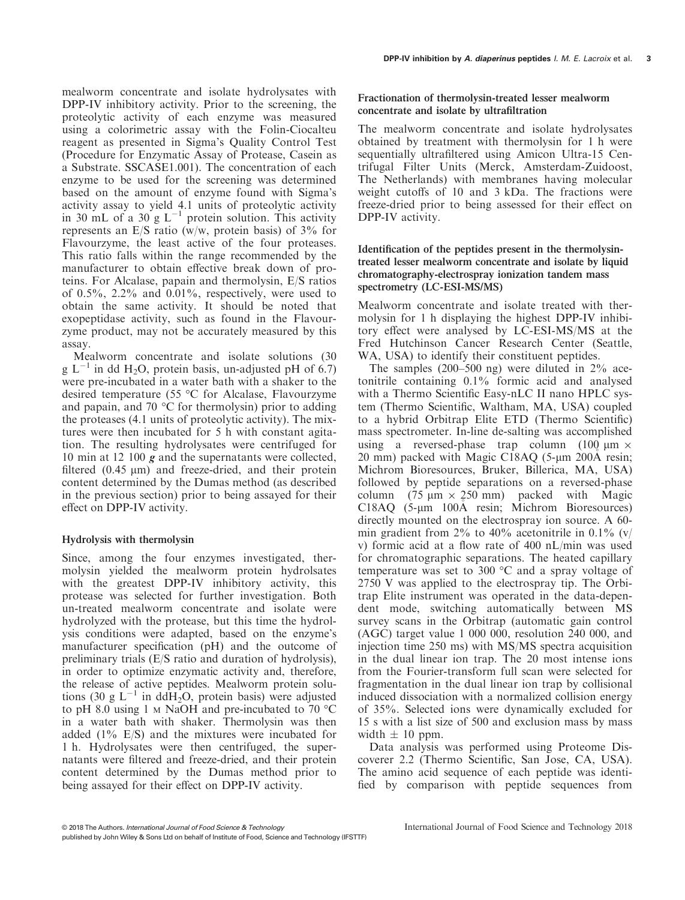mealworm concentrate and isolate hydrolysates with DPP-IV inhibitory activity. Prior to the screening, the proteolytic activity of each enzyme was measured using a colorimetric assay with the Folin-Ciocalteu reagent as presented in Sigma's Quality Control Test (Procedure for Enzymatic Assay of Protease, Casein as a Substrate. SSCASE1.001). The concentration of each enzyme to be used for the screening was determined based on the amount of enzyme found with Sigma's activity assay to yield 4.1 units of proteolytic activity in 30 mL of a 30 g  $L^{-1}$  protein solution. This activity represents an E/S ratio (w/w, protein basis) of  $3\%$  for Flavourzyme, the least active of the four proteases. This ratio falls within the range recommended by the manufacturer to obtain effective break down of proteins. For Alcalase, papain and thermolysin, E/S ratios of 0.5%, 2.2% and 0.01%, respectively, were used to obtain the same activity. It should be noted that exopeptidase activity, such as found in the Flavourzyme product, may not be accurately measured by this assay.

Mealworm concentrate and isolate solutions (30 g  $L^{-1}$  in dd H<sub>2</sub>O, protein basis, un-adjusted pH of 6.7) were pre-incubated in a water bath with a shaker to the desired temperature (55 °C for Alcalase, Flavourzyme and papain, and 70 °C for thermolysin) prior to adding the proteases (4.1 units of proteolytic activity). The mixtures were then incubated for 5 h with constant agitation. The resulting hydrolysates were centrifuged for 10 min at 12 100 g and the supernatants were collected, filtered  $(0.45 \mu m)$  and freeze-dried, and their protein content determined by the Dumas method (as described in the previous section) prior to being assayed for their effect on DPP-IV activity.

### Hydrolysis with thermolysin

Since, among the four enzymes investigated, thermolysin yielded the mealworm protein hydrolsates with the greatest DPP-IV inhibitory activity, this protease was selected for further investigation. Both un-treated mealworm concentrate and isolate were hydrolyzed with the protease, but this time the hydrolysis conditions were adapted, based on the enzyme's manufacturer specification (pH) and the outcome of preliminary trials (E/S ratio and duration of hydrolysis), in order to optimize enzymatic activity and, therefore, the release of active peptides. Mealworm protein solutions (30 g  $L^{-1}$  in ddH<sub>2</sub>O, protein basis) were adjusted to pH 8.0 using 1  $\mu$  NaOH and pre-incubated to 70 °C in a water bath with shaker. Thermolysin was then added (1% E/S) and the mixtures were incubated for 1 h. Hydrolysates were then centrifuged, the supernatants were filtered and freeze-dried, and their protein content determined by the Dumas method prior to being assayed for their effect on DPP-IV activity.

# Fractionation of thermolysin-treated lesser mealworm concentrate and isolate by ultrafiltration

The mealworm concentrate and isolate hydrolysates obtained by treatment with thermolysin for 1 h were sequentially ultrafiltered using Amicon Ultra-15 Centrifugal Filter Units (Merck, Amsterdam-Zuidoost, The Netherlands) with membranes having molecular weight cutoffs of 10 and 3 kDa. The fractions were freeze-dried prior to being assessed for their effect on DPP-IV activity.

Identification of the peptides present in the thermolysintreated lesser mealworm concentrate and isolate by liquid chromatography-electrospray ionization tandem mass spectrometry (LC-ESI-MS/MS)

Mealworm concentrate and isolate treated with thermolysin for 1 h displaying the highest DPP-IV inhibitory effect were analysed by LC-ESI-MS/MS at the Fred Hutchinson Cancer Research Center (Seattle, WA, USA) to identify their constituent peptides.

The samples  $(200-500)$  ng) were diluted in  $2\%$  acetonitrile containing 0.1% formic acid and analysed with a Thermo Scientific Easy-nLC II nano HPLC system (Thermo Scientific, Waltham, MA, USA) coupled to a hybrid Orbitrap Elite ETD (Thermo Scientific) mass spectrometer. In-line de-salting was accomplished using a reversed-phase trap column  $(100 \mu m) \times$ 20 mm) packed with Magic C18AQ  $(5-\mu m)$  200Å resin; Michrom Bioresources, Bruker, Billerica, MA, USA) followed by peptide separations on a reversed-phase column (75  $\mu$ m  $\times$  250 mm) packed with Magic C18AQ (5-um 100Å resin; Michrom Bioresources) directly mounted on the electrospray ion source. A 60 min gradient from  $2\%$  to  $40\%$  acetonitrile in 0.1% (v/ v) formic acid at a flow rate of 400 nL/min was used for chromatographic separations. The heated capillary temperature was set to 300 °C and a spray voltage of 2750 V was applied to the electrospray tip. The Orbitrap Elite instrument was operated in the data-dependent mode, switching automatically between MS survey scans in the Orbitrap (automatic gain control (AGC) target value 1 000 000, resolution 240 000, and injection time 250 ms) with MS/MS spectra acquisition in the dual linear ion trap. The 20 most intense ions from the Fourier-transform full scan were selected for fragmentation in the dual linear ion trap by collisional induced dissociation with a normalized collision energy of 35%. Selected ions were dynamically excluded for 15 s with a list size of 500 and exclusion mass by mass width  $\pm$  10 ppm.

Data analysis was performed using Proteome Discoverer 2.2 (Thermo Scientific, San Jose, CA, USA). The amino acid sequence of each peptide was identified by comparison with peptide sequences from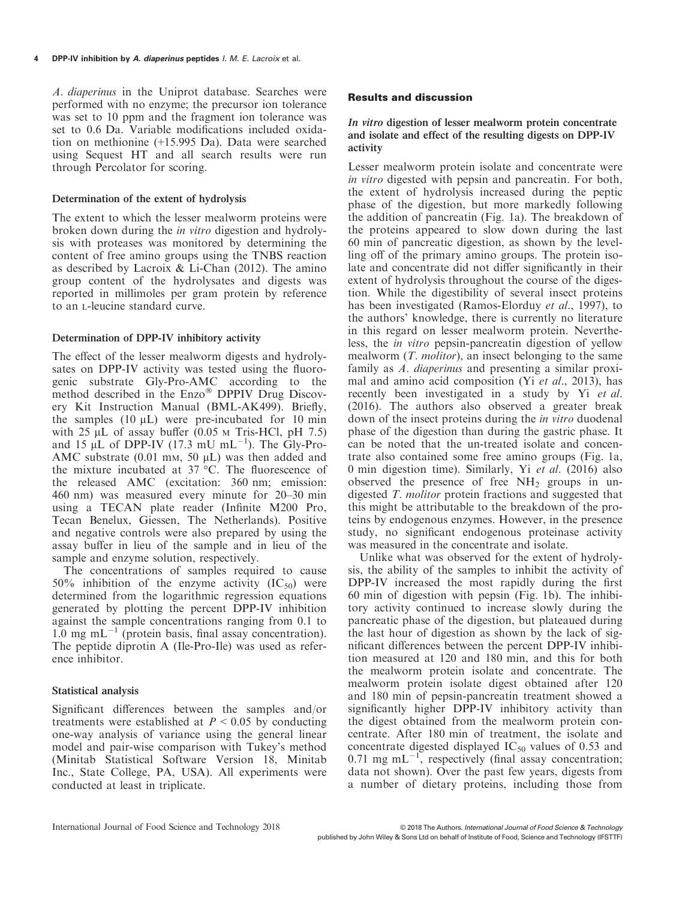A. diaperinus in the Uniprot database. Searches were performed with no enzyme; the precursor ion tolerance was set to 10 ppm and the fragment ion tolerance was set to 0.6 Da. Variable modifications included oxidation on methionine (+15.995 Da). Data were searched using Sequest HT and all search results were run through Percolator for scoring.

#### Determination of the extent of hydrolysis

The extent to which the lesser mealworm proteins were broken down during the in vitro digestion and hydrolysis with proteases was monitored by determining the content of free amino groups using the TNBS reaction as described by Lacroix & Li-Chan (2012). The amino group content of the hydrolysates and digests was reported in millimoles per gram protein by reference to an L-leucine standard curve.

#### Determination of DPP-IV inhibitory activity

The effect of the lesser mealworm digests and hydrolysates on DPP-IV activity was tested using the fluorogenic substrate Gly-Pro-AMC according to the method described in the Enzo<sup>®</sup> DPPIV Drug Discovery Kit Instruction Manual (BML-AK499). Briefly, the samples  $(10 \mu L)$  were pre-incubated for 10 min with  $25 \mu L$  of assay buffer (0.05 M Tris-HCl, pH 7.5) and 15  $\mu$ L of DPP-IV (17.3 mU mL<sup>-1</sup>). The Gly-Pro-AMC substrate  $(0.01 \text{ mm}, 50 \mu L)$  was then added and the mixture incubated at 37 °C. The fluorescence of the released AMC (excitation: 360 nm; emission: 460 nm) was measured every minute for 20–30 min using a TECAN plate reader (Infinite M200 Pro, Tecan Benelux, Giessen, The Netherlands). Positive and negative controls were also prepared by using the assay buffer in lieu of the sample and in lieu of the sample and enzyme solution, respectively.

The concentrations of samples required to cause 50% inhibition of the enzyme activity  $(IC_{50})$  were determined from the logarithmic regression equations generated by plotting the percent DPP-IV inhibition against the sample concentrations ranging from 0.1 to 1.0 mg mL<sup> $-1$ </sup> (protein basis, final assay concentration). The peptide diprotin A (Ile-Pro-Ile) was used as reference inhibitor.

### Statistical analysis

Significant differences between the samples and/or treatments were established at  $P < 0.05$  by conducting one-way analysis of variance using the general linear model and pair-wise comparison with Tukey's method (Minitab Statistical Software Version 18, Minitab Inc., State College, PA, USA). All experiments were conducted at least in triplicate.

#### Results and discussion

#### In vitro digestion of lesser mealworm protein concentrate and isolate and effect of the resulting digests on DPP-IV activity

Lesser mealworm protein isolate and concentrate were in vitro digested with pepsin and pancreatin. For both, the extent of hydrolysis increased during the peptic phase of the digestion, but more markedly following the addition of pancreatin (Fig. 1a). The breakdown of the proteins appeared to slow down during the last 60 min of pancreatic digestion, as shown by the levelling off of the primary amino groups. The protein isolate and concentrate did not differ significantly in their extent of hydrolysis throughout the course of the digestion. While the digestibility of several insect proteins has been investigated (Ramos-Elorduy et al., 1997), to the authors' knowledge, there is currently no literature in this regard on lesser mealworm protein. Nevertheless, the in vitro pepsin-pancreatin digestion of yellow mealworm  $(T.$  *molitor*), an insect belonging to the same family as A. diaperinus and presenting a similar proximal and amino acid composition (Yi et al., 2013), has recently been investigated in a study by Yi et al. (2016). The authors also observed a greater break down of the insect proteins during the *in vitro* duodenal phase of the digestion than during the gastric phase. It can be noted that the un-treated isolate and concentrate also contained some free amino groups (Fig. 1a, 0 min digestion time). Similarly, Yi et al. (2016) also observed the presence of free  $NH<sub>2</sub>$  groups in undigested T. molitor protein fractions and suggested that this might be attributable to the breakdown of the proteins by endogenous enzymes. However, in the presence study, no significant endogenous proteinase activity was measured in the concentrate and isolate.

Unlike what was observed for the extent of hydrolysis, the ability of the samples to inhibit the activity of DPP-IV increased the most rapidly during the first 60 min of digestion with pepsin (Fig. 1b). The inhibitory activity continued to increase slowly during the pancreatic phase of the digestion, but plateaued during the last hour of digestion as shown by the lack of significant differences between the percent DPP-IV inhibition measured at 120 and 180 min, and this for both the mealworm protein isolate and concentrate. The mealworm protein isolate digest obtained after 120 and 180 min of pepsin-pancreatin treatment showed a significantly higher DPP-IV inhibitory activity than the digest obtained from the mealworm protein concentrate. After 180 min of treatment, the isolate and concentrate digested displayed  $IC_{50}$  values of 0.53 and 0.71 mg mL $^{-1}$ , respectively (final assay concentration; data not shown). Over the past few years, digests from a number of dietary proteins, including those from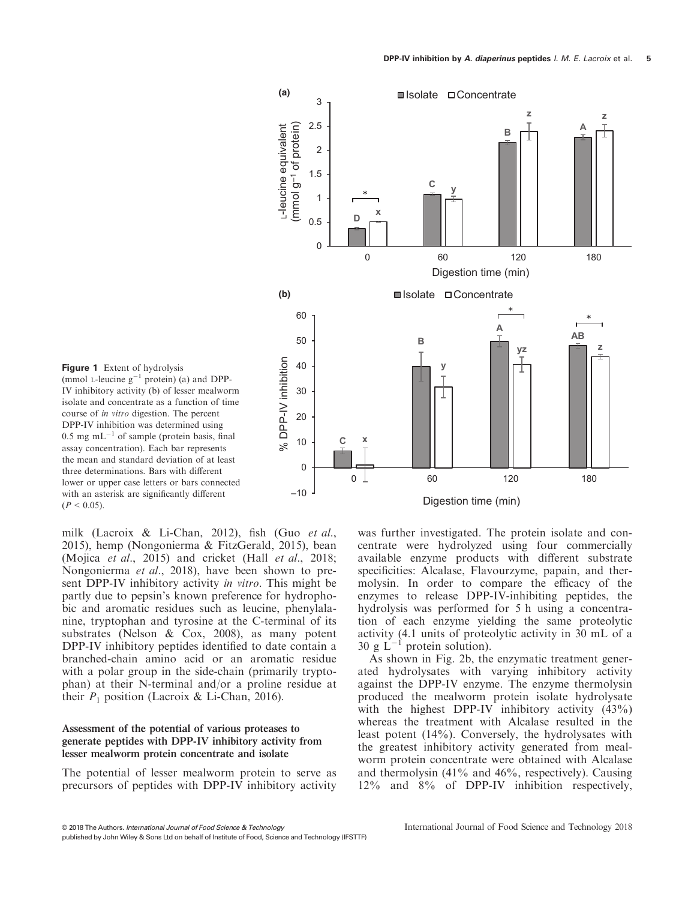



milk (Lacroix & Li-Chan, 2012), fish (Guo et al., 2015), hemp (Nongonierma & FitzGerald, 2015), bean (Mojica et al., 2015) and cricket (Hall et al., 2018; Nongonierma et al., 2018), have been shown to present DPP-IV inhibitory activity in vitro. This might be partly due to pepsin's known preference for hydrophobic and aromatic residues such as leucine, phenylalanine, tryptophan and tyrosine at the C-terminal of its substrates (Nelson & Cox, 2008), as many potent DPP-IV inhibitory peptides identified to date contain a branched-chain amino acid or an aromatic residue with a polar group in the side-chain (primarily tryptophan) at their N-terminal and/or a proline residue at their  $P_1$  position (Lacroix & Li-Chan, 2016).

# Assessment of the potential of various proteases to generate peptides with DPP-IV inhibitory activity from lesser mealworm protein concentrate and isolate

The potential of lesser mealworm protein to serve as precursors of peptides with DPP-IV inhibitory activity

was further investigated. The protein isolate and concentrate were hydrolyzed using four commercially available enzyme products with different substrate specificities: Alcalase, Flavourzyme, papain, and thermolysin. In order to compare the efficacy of the enzymes to release DPP-IV-inhibiting peptides, the hydrolysis was performed for 5 h using a concentration of each enzyme yielding the same proteolytic activity (4.1 units of proteolytic activity in 30 mL of a 30 g  $\mathbf{L}^{-1}$  protein solution).

As shown in Fig. 2b, the enzymatic treatment generated hydrolysates with varying inhibitory activity against the DPP-IV enzyme. The enzyme thermolysin produced the mealworm protein isolate hydrolysate with the highest DPP-IV inhibitory activity  $(43\%)$ whereas the treatment with Alcalase resulted in the least potent (14%). Conversely, the hydrolysates with the greatest inhibitory activity generated from mealworm protein concentrate were obtained with Alcalase and thermolysin (41% and 46%, respectively). Causing 12% and 8% of DPP-IV inhibition respectively,

<sup>©</sup> 2018 The Authors. International Journal of Food Science & Technology published by John Wiley & Sons Ltd on behalf of Institute of Food, Science and Technology (IFSTTF)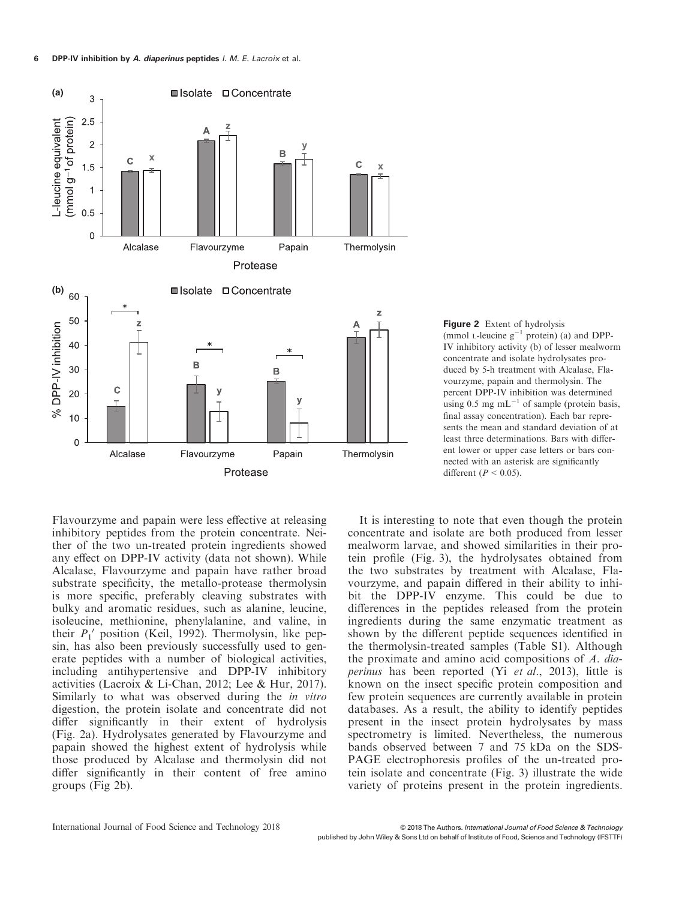

Figure 2 Extent of hydrolysis (mmol L-leucine  $g^{-1}$  protein) (a) and DPP-IV inhibitory activity (b) of lesser mealworm concentrate and isolate hydrolysates produced by 5-h treatment with Alcalase, Flavourzyme, papain and thermolysin. The percent DPP-IV inhibition was determined using 0.5 mg  $mL^{-1}$  of sample (protein basis, final assay concentration). Each bar represents the mean and standard deviation of at least three determinations. Bars with different lower or upper case letters or bars connected with an asterisk are significantly different ( $P < 0.05$ ).

Flavourzyme and papain were less effective at releasing inhibitory peptides from the protein concentrate. Neither of the two un-treated protein ingredients showed any effect on DPP-IV activity (data not shown). While Alcalase, Flavourzyme and papain have rather broad substrate specificity, the metallo-protease thermolysin is more specific, preferably cleaving substrates with bulky and aromatic residues, such as alanine, leucine, isoleucine, methionine, phenylalanine, and valine, in their  $P_1'$  position (Keil, 1992). Thermolysin, like pepsin, has also been previously successfully used to generate peptides with a number of biological activities, including antihypertensive and DPP-IV inhibitory activities (Lacroix & Li-Chan, 2012; Lee & Hur, 2017). Similarly to what was observed during the in vitro digestion, the protein isolate and concentrate did not differ significantly in their extent of hydrolysis (Fig. 2a). Hydrolysates generated by Flavourzyme and papain showed the highest extent of hydrolysis while those produced by Alcalase and thermolysin did not differ significantly in their content of free amino groups (Fig 2b).

It is interesting to note that even though the protein concentrate and isolate are both produced from lesser mealworm larvae, and showed similarities in their protein profile (Fig. 3), the hydrolysates obtained from the two substrates by treatment with Alcalase, Flavourzyme, and papain differed in their ability to inhibit the DPP-IV enzyme. This could be due to differences in the peptides released from the protein ingredients during the same enzymatic treatment as shown by the different peptide sequences identified in the thermolysin-treated samples (Table S1). Although the proximate and amino acid compositions of A. diaperinus has been reported (Yi et al., 2013), little is known on the insect specific protein composition and few protein sequences are currently available in protein databases. As a result, the ability to identify peptides present in the insect protein hydrolysates by mass spectrometry is limited. Nevertheless, the numerous bands observed between 7 and 75 kDa on the SDS-PAGE electrophoresis profiles of the un-treated protein isolate and concentrate (Fig. 3) illustrate the wide variety of proteins present in the protein ingredients.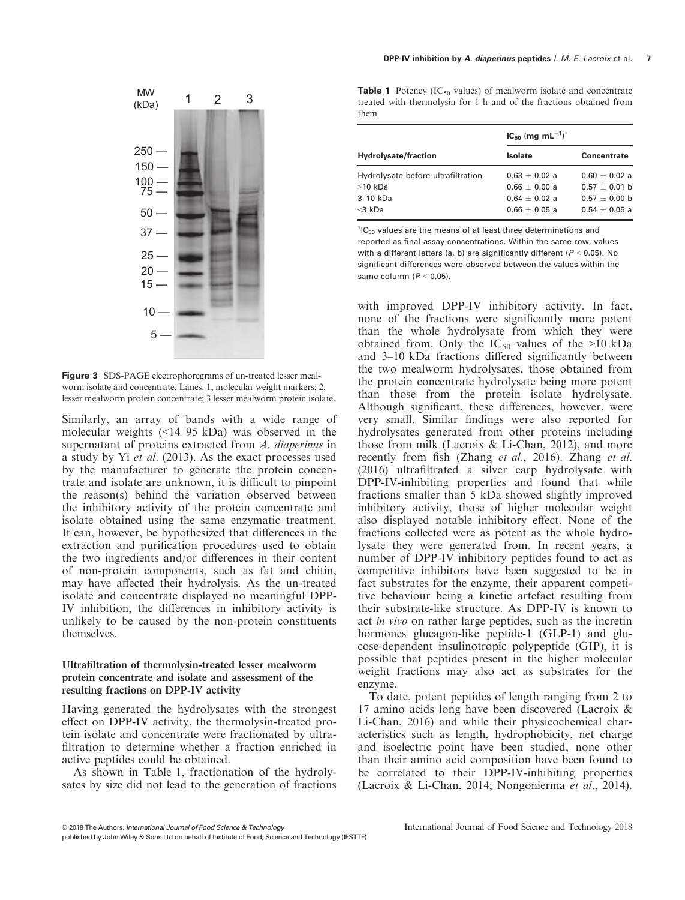

Figure 3 SDS-PAGE electrophoregrams of un-treated lesser mealworm isolate and concentrate. Lanes: 1, molecular weight markers; 2, lesser mealworm protein concentrate; 3 lesser mealworm protein isolate.

Similarly, an array of bands with a wide range of molecular weights (<14–95 kDa) was observed in the supernatant of proteins extracted from A. diaperinus in a study by Yi et al. (2013). As the exact processes used by the manufacturer to generate the protein concentrate and isolate are unknown, it is difficult to pinpoint the reason(s) behind the variation observed between the inhibitory activity of the protein concentrate and isolate obtained using the same enzymatic treatment. It can, however, be hypothesized that differences in the extraction and purification procedures used to obtain the two ingredients and/or differences in their content of non-protein components, such as fat and chitin, may have affected their hydrolysis. As the un-treated isolate and concentrate displayed no meaningful DPP-IV inhibition, the differences in inhibitory activity is unlikely to be caused by the non-protein constituents themselves.

#### Ultrafiltration of thermolysin-treated lesser mealworm protein concentrate and isolate and assessment of the resulting fractions on DPP-IV activity

Having generated the hydrolysates with the strongest effect on DPP-IV activity, the thermolysin-treated protein isolate and concentrate were fractionated by ultrafiltration to determine whether a fraction enriched in active peptides could be obtained.

As shown in Table 1, fractionation of the hydrolysates by size did not lead to the generation of fractions

**Table 1** Potency ( $IC_{50}$  values) of mealworm isolate and concentrate treated with thermolysin for 1 h and of the fractions obtained from them

| <b>Hydrolysate/fraction</b>        | $IC_{50}$ (mg mL <sup>-1</sup> ) <sup>†</sup> |                    |
|------------------------------------|-----------------------------------------------|--------------------|
|                                    | <b>Isolate</b>                                | <b>Concentrate</b> |
| Hydrolysate before ultrafiltration | $0.63 + 0.02 a$                               | $0.60 + 0.02 a$    |
| $>10$ kDa                          | $0.66 + 0.00 a$                               | $0.57 + 0.01$ b    |
| $3-10$ kDa                         | $0.64 + 0.02 a$                               | $0.57 + 0.00$ b    |
| $<$ 3 kDa                          | $0.66 + 0.05$ a                               | $0.54 + 0.05$ a    |
|                                    |                                               |                    |

 $^{\dagger}$ IC<sub>50</sub> values are the means of at least three determinations and reported as final assay concentrations. Within the same row, values with a different letters (a, b) are significantly different ( $P < 0.05$ ). No significant differences were observed between the values within the same column  $(P < 0.05)$ .

with improved DPP-IV inhibitory activity. In fact, none of the fractions were significantly more potent than the whole hydrolysate from which they were obtained from. Only the  $IC_{50}$  values of the >10 kDa and 3–10 kDa fractions differed significantly between the two mealworm hydrolysates, those obtained from the protein concentrate hydrolysate being more potent than those from the protein isolate hydrolysate. Although significant, these differences, however, were very small. Similar findings were also reported for hydrolysates generated from other proteins including those from milk (Lacroix & Li-Chan, 2012), and more recently from fish (Zhang et al., 2016). Zhang et al. (2016) ultrafiltrated a silver carp hydrolysate with DPP-IV-inhibiting properties and found that while fractions smaller than 5 kDa showed slightly improved inhibitory activity, those of higher molecular weight also displayed notable inhibitory effect. None of the fractions collected were as potent as the whole hydrolysate they were generated from. In recent years, a number of DPP-IV inhibitory peptides found to act as competitive inhibitors have been suggested to be in fact substrates for the enzyme, their apparent competitive behaviour being a kinetic artefact resulting from their substrate-like structure. As DPP-IV is known to act in vivo on rather large peptides, such as the incretin hormones glucagon-like peptide-1 (GLP-1) and glucose-dependent insulinotropic polypeptide (GIP), it is possible that peptides present in the higher molecular weight fractions may also act as substrates for the enzyme.

To date, potent peptides of length ranging from 2 to 17 amino acids long have been discovered (Lacroix & Li-Chan, 2016) and while their physicochemical characteristics such as length, hydrophobicity, net charge and isoelectric point have been studied, none other than their amino acid composition have been found to be correlated to their DPP-IV-inhibiting properties (Lacroix & Li-Chan, 2014; Nongonierma et al., 2014).

<sup>©</sup> 2018 The Authors. International Journal of Food Science & Technology published by John Wiley & Sons Ltd on behalf of Institute of Food, Science and Technology (IFSTTF)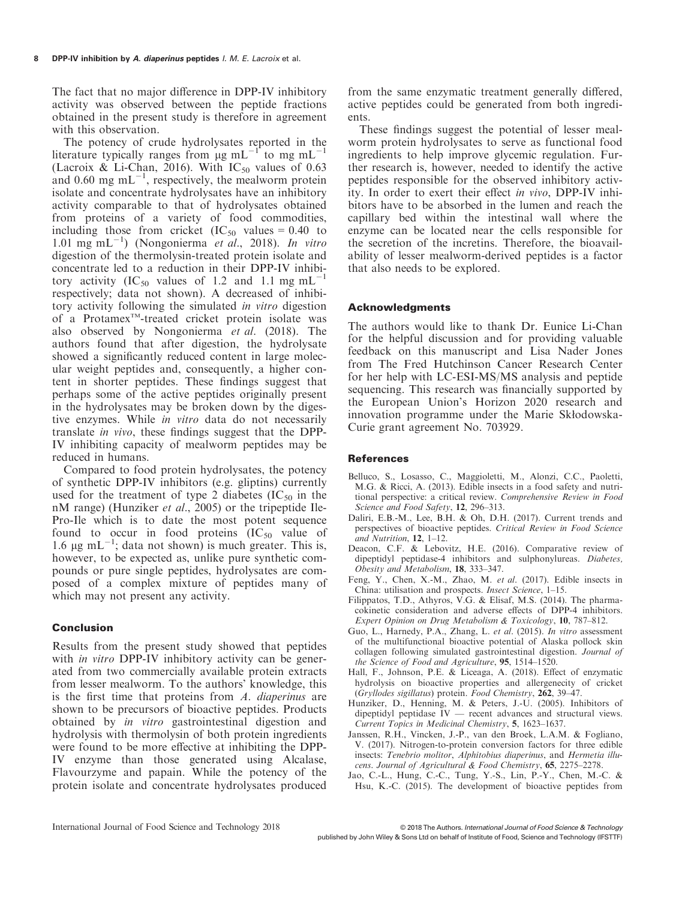The fact that no major difference in DPP-IV inhibitory activity was observed between the peptide fractions obtained in the present study is therefore in agreement with this observation.

The potency of crude hydrolysates reported in the literature typically ranges from  $\mu$ g mL<sup>-1</sup> to mg mL<sup>-1</sup> (Lacroix & Li-Chan, 2016). With  $IC_{50}$  values of 0.63 and 0.60 mg  $mL^{-1}$ , respectively, the mealworm protein isolate and concentrate hydrolysates have an inhibitory activity comparable to that of hydrolysates obtained from proteins of a variety of food commodities, including those from cricket  $(IC_{50}$  values = 0.40 to 1.01 mg mL<sup>-1</sup>) (Nongonierma et al., 2018). In vitro digestion of the thermolysin-treated protein isolate and concentrate led to a reduction in their DPP-IV inhibitory activity (IC<sub>50</sub> values of 1.2 and 1.1 mg mL<sup>-1</sup> respectively; data not shown). A decreased of inhibitory activity following the simulated in vitro digestion of a Protamex<sup>™</sup>-treated cricket protein isolate was also observed by Nongonierma et al. (2018). The authors found that after digestion, the hydrolysate showed a significantly reduced content in large molecular weight peptides and, consequently, a higher content in shorter peptides. These findings suggest that perhaps some of the active peptides originally present in the hydrolysates may be broken down by the digestive enzymes. While in vitro data do not necessarily translate in vivo, these findings suggest that the DPP-IV inhibiting capacity of mealworm peptides may be reduced in humans.

Compared to food protein hydrolysates, the potency of synthetic DPP-IV inhibitors (e.g. gliptins) currently used for the treatment of type 2 diabetes  $(IC_{50}$  in the nM range) (Hunziker et al., 2005) or the tripeptide Ile-Pro-Ile which is to date the most potent sequence found to occur in food proteins  $(IC_{50}$  value of 1.6  $\mu$ g mL<sup>-1</sup>; data not shown) is much greater. This is, however, to be expected as, unlike pure synthetic compounds or pure single peptides, hydrolysates are composed of a complex mixture of peptides many of which may not present any activity.

### Conclusion

Results from the present study showed that peptides with *in vitro* DPP-IV inhibitory activity can be generated from two commercially available protein extracts from lesser mealworm. To the authors' knowledge, this is the first time that proteins from A. diaperinus are shown to be precursors of bioactive peptides. Products obtained by in vitro gastrointestinal digestion and hydrolysis with thermolysin of both protein ingredients were found to be more effective at inhibiting the DPP-IV enzyme than those generated using Alcalase, Flavourzyme and papain. While the potency of the protein isolate and concentrate hydrolysates produced from the same enzymatic treatment generally differed, active peptides could be generated from both ingredients.

These findings suggest the potential of lesser mealworm protein hydrolysates to serve as functional food ingredients to help improve glycemic regulation. Further research is, however, needed to identify the active peptides responsible for the observed inhibitory activity. In order to exert their effect in vivo, DPP-IV inhibitors have to be absorbed in the lumen and reach the capillary bed within the intestinal wall where the enzyme can be located near the cells responsible for the secretion of the incretins. Therefore, the bioavailability of lesser mealworm-derived peptides is a factor that also needs to be explored.

#### Acknowledgments

The authors would like to thank Dr. Eunice Li-Chan for the helpful discussion and for providing valuable feedback on this manuscript and Lisa Nader Jones from The Fred Hutchinson Cancer Research Center for her help with LC-ESI-MS/MS analysis and peptide sequencing. This research was financially supported by the European Union's Horizon 2020 research and innovation programme under the Marie Skłodowska-Curie grant agreement No. 703929.

#### **References**

- Belluco, S., Losasso, C., Maggioletti, M., Alonzi, C.C., Paoletti, M.G. & Ricci, A. (2013). Edible insects in a food safety and nutritional perspective: a critical review. Comprehensive Review in Food Science and Food Safety, 12, 296-313.
- Daliri, E.B.-M., Lee, B.H. & Oh, D.H. (2017). Current trends and perspectives of bioactive peptides. Critical Review in Food Science and Nutrition, 12, 1–12.
- Deacon, C.F. & Lebovitz, H.E. (2016). Comparative review of dipeptidyl peptidase-4 inhibitors and sulphonylureas. Diabetes, Obesity and Metabolism, 18, 333–347.
- Feng, Y., Chen, X.-M., Zhao, M. et al. (2017). Edible insects in China: utilisation and prospects. Insect Science, 1–15.
- Filippatos, T.D., Athyros, V.G. & Elisaf, M.S. (2014). The pharmacokinetic consideration and adverse effects of DPP-4 inhibitors. Expert Opinion on Drug Metabolism & Toxicology, 10, 787–812.
- Guo, L., Harnedy, P.A., Zhang, L. et al. (2015). In vitro assessment of the multifunctional bioactive potential of Alaska pollock skin collagen following simulated gastrointestinal digestion. Journal of the Science of Food and Agriculture, 95, 1514–1520.
- Hall, F., Johnson, P.E. & Liceaga, A. (2018). Effect of enzymatic hydrolysis on bioactive properties and allergenecity of cricket (Gryllodes sigillatus) protein. Food Chemistry, 262, 39–47.
- Hunziker, D., Henning, M. & Peters, J.-U. (2005). Inhibitors of dipeptidyl peptidase IV — recent advances and structural views. Current Topics in Medicinal Chemistry, 5, 1623–1637.
- Janssen, R.H., Vincken, J.-P., van den Broek, L.A.M. & Fogliano, V. (2017). Nitrogen-to-protein conversion factors for three edible insects: Tenebrio molitor, Alphitobius diaperinus, and Hermetia illucens. Journal of Agricultural & Food Chemistry, 65, 2275–2278.
- Jao, C.-L., Hung, C.-C., Tung, Y.-S., Lin, P.-Y., Chen, M.-C. & Hsu, K.-C. (2015). The development of bioactive peptides from